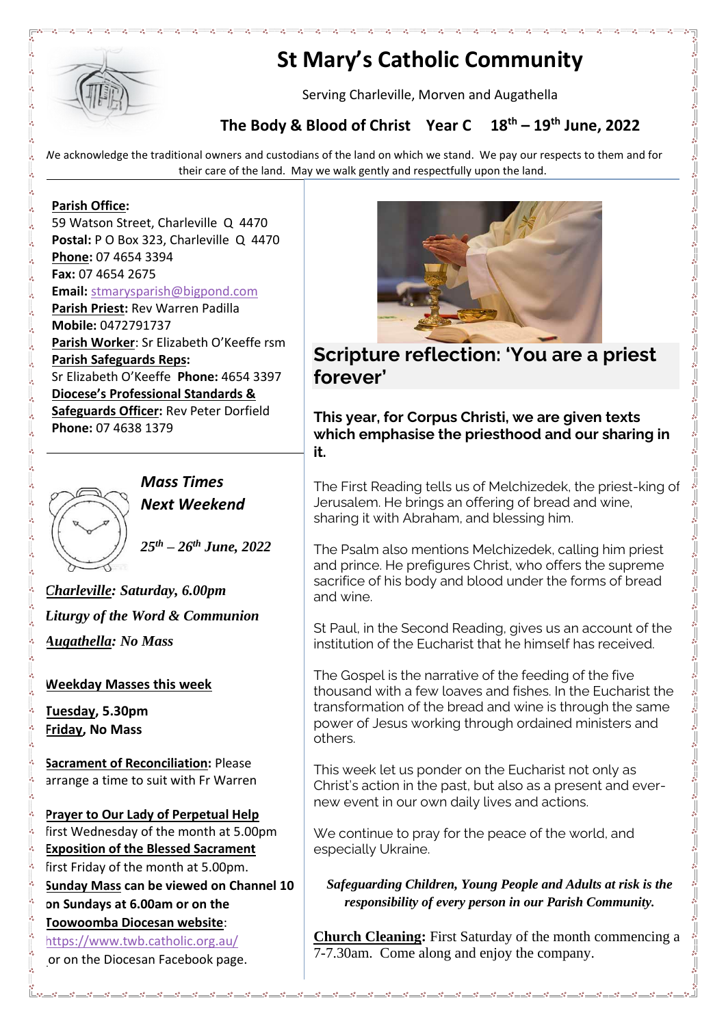

# **St Mary's Catholic Community**

Serving Charleville, Morven and Augathella

### **The Body & Blood of Christ Year C 18th – 19th June, 2022**

We acknowledge the traditional owners and custodians of the land on which we stand. We pay our respects to them and for their care of the land. May we walk gently and respectfully upon the land.

#### **Parish Office:**

59 Watson Street, Charleville Q 4470 **Postal:** P O Box 323, Charleville Q 4470 **Phone:** 07 4654 3394 **Fax:** 07 4654 2675 **Email:** [stmarysparish@bigpond.com](mailto:stmarysparish@bigpond.com) **Parish Priest:** Rev Warren Padilla **Mobile:** 0472791737 **Parish Worker**: Sr Elizabeth O'Keeffe rsm **Parish Safeguards Reps:** Sr Elizabeth O'Keeffe **Phone:** 4654 3397 **Diocese's Professional Standards & Safeguards Officer:** Rev Peter Dorfield **Phone:** 07 4638 1379



*Mass Times Next Weekend*

*25th – 26th June, 2022*

*Charleville: Saturday, 6.00pm Liturgy of the Word & Communion Augathella: No Mass*

#### **Weekday Masses this week**

**Tuesday, 5.30pm Friday, No Mass**

**Sacrament of Reconciliation:** Please arrange a time to suit with Fr Warren

**Prayer to Our Lady of Perpetual Help** first Wednesday of the month at 5.00pm **Exposition of the Blessed Sacrament** first Friday of the month at 5.00pm. **Sunday Mass can be viewed on Channel 10 on Sundays at 6.00am or on the Toowoomba Diocesan website**: <https://www.twb.catholic.org.au/> or on the Diocesan Facebook page.



## **Scripture reflection: 'You are a priest forever'**

**This year, for Corpus Christi, we are given texts which emphasise the priesthood and our sharing in it.**

The First Reading tells us of Melchizedek, the priest-king of Jerusalem. He brings an offering of bread and wine, sharing it with Abraham, and blessing him.

The Psalm also mentions Melchizedek, calling him priest and prince. He prefigures Christ, who offers the supreme sacrifice of his body and blood under the forms of bread and wine.

St Paul, in the Second Reading, gives us an account of the institution of the Eucharist that he himself has received.

The Gospel is the narrative of the feeding of the five thousand with a few loaves and fishes. In the Eucharist the transformation of the bread and wine is through the same power of Jesus working through ordained ministers and others.

This week let us ponder on the Eucharist not only as Christ's action in the past, but also as a present and evernew event in our own daily lives and actions.

We continue to pray for the peace of the world, and especially Ukraine.

*Safeguarding Children, Young People and Adults at risk is the responsibility of every person in our Parish Community.*

**Church Cleaning:** First Saturday of the month commencing a 7-7.30am. Come along and enjoy the company.